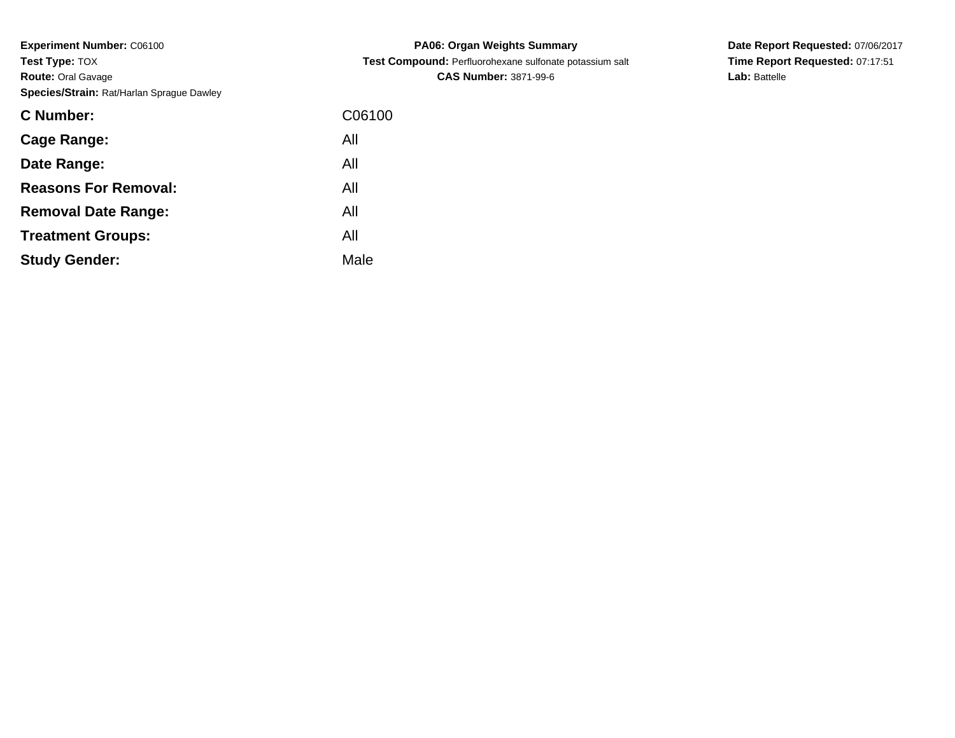**Experiment Number:** C06100**Test Type:** TOX **Route:** Oral Gavage**Species/Strain:** Rat/Harlan Sprague Dawley

| <b>C</b> Number:            | C06100 |
|-----------------------------|--------|
| Cage Range:                 | All    |
| Date Range:                 | All    |
| <b>Reasons For Removal:</b> | All    |
| <b>Removal Date Range:</b>  | All    |
| <b>Treatment Groups:</b>    | All    |
| <b>Study Gender:</b>        | Male   |

**PA06: Organ Weights Summary Test Compound:** Perfluorohexane sulfonate potassium salt**CAS Number:** 3871-99-6

**Date Report Requested:** 07/06/2017**Time Report Requested:** 07:17:51**Lab:** Battelle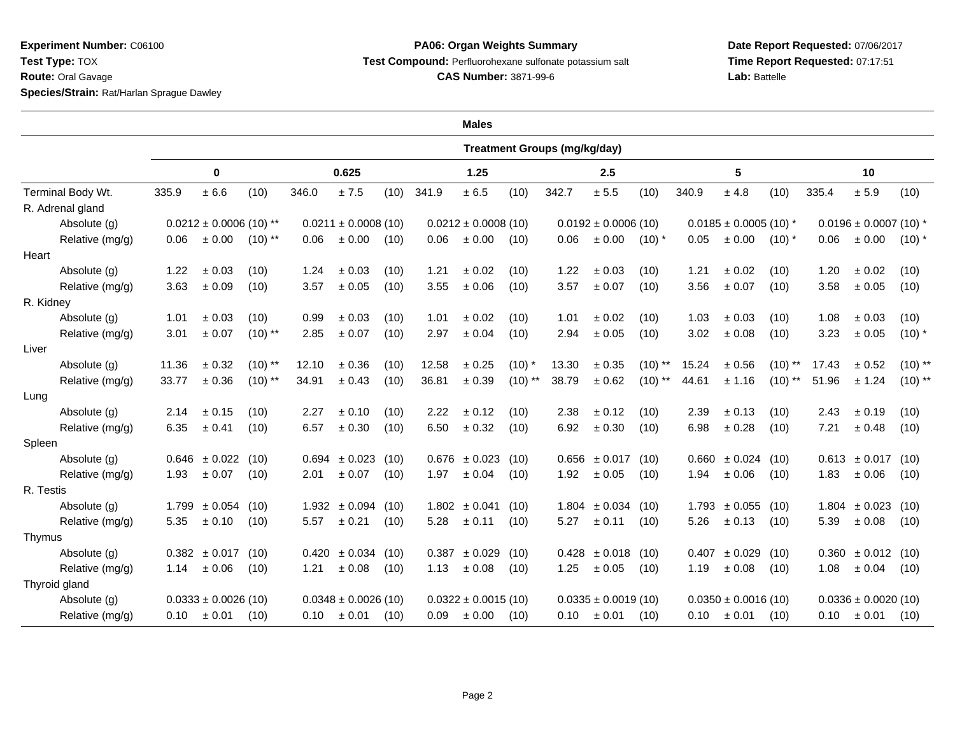**Experiment Number:** C06100**Test Type:** TOX

**Route:** Oral Gavage

**Species/Strain:** Rat/Harlan Sprague Dawley

## **PA06: Organ Weights SummaryTest Compound:** Perfluorohexane sulfonate potassium salt

**CAS Number:** 3871-99-6

**Date Report Requested:** 07/06/2017**Time Report Requested:** 07:17:51**Lab:** Battelle

 $\overline{\phantom{0}}$ 

| <b>Males</b>      |                                     |                          |           |                         |                          |      |                         |                         |           |                          |                         |           |                            |                         |            |                            |                          |            |
|-------------------|-------------------------------------|--------------------------|-----------|-------------------------|--------------------------|------|-------------------------|-------------------------|-----------|--------------------------|-------------------------|-----------|----------------------------|-------------------------|------------|----------------------------|--------------------------|------------|
|                   | <b>Treatment Groups (mg/kg/day)</b> |                          |           |                         |                          |      |                         |                         |           |                          |                         |           |                            |                         |            |                            |                          |            |
|                   | 0                                   |                          |           | 0.625                   |                          |      | 1.25                    |                         |           | 2.5                      |                         |           | 5                          |                         |            | 10                         |                          |            |
| Terminal Body Wt. | 335.9                               | $\pm$ 6.6                | (10)      | 346.0                   | ± 7.5                    | (10) | 341.9                   | ± 6.5                   | (10)      | 342.7                    | $\pm$ 5.5               | (10)      | 340.9                      | ± 4.8                   | (10)       | 335.4                      | $\pm$ 5.9                | (10)       |
| R. Adrenal gland  |                                     |                          |           |                         |                          |      |                         |                         |           |                          |                         |           |                            |                         |            |                            |                          |            |
| Absolute (g)      | $0.0212 \pm 0.0006$ (10) **         |                          |           | $0.0211 \pm 0.0008(10)$ |                          |      | $0.0212 \pm 0.0008(10)$ |                         |           | $0.0192 \pm 0.0006$ (10) |                         |           | $0.0185 \pm 0.0005$ (10) * |                         |            | $0.0196 \pm 0.0007$ (10) * |                          |            |
| Relative (mg/g)   | 0.06                                | ± 0.00                   | $(10)$ ** | 0.06                    | ± 0.00                   | (10) | 0.06                    | ± 0.00                  | (10)      | 0.06                     | $\pm$ 0.00              | $(10)*$   | 0.05                       | ± 0.00                  | $(10)^{*}$ | 0.06                       | $\pm$ 0.00               | $(10)^{*}$ |
| Heart             |                                     |                          |           |                         |                          |      |                         |                         |           |                          |                         |           |                            |                         |            |                            |                          |            |
| Absolute (g)      | 1.22                                | $\pm$ 0.03               | (10)      | 1.24                    | ± 0.03                   | (10) | 1.21                    | ± 0.02                  | (10)      | 1.22                     | ± 0.03                  | (10)      | 1.21                       | ± 0.02                  | (10)       | 1.20                       | ± 0.02                   | (10)       |
| Relative (mg/g)   | 3.63                                | ± 0.09                   | (10)      | 3.57                    | ± 0.05                   | (10) | 3.55                    | ± 0.06                  | (10)      | 3.57                     | ± 0.07                  | (10)      | 3.56                       | $\pm$ 0.07              | (10)       | 3.58                       | ± 0.05                   | (10)       |
| R. Kidney         |                                     |                          |           |                         |                          |      |                         |                         |           |                          |                         |           |                            |                         |            |                            |                          |            |
| Absolute (g)      | 1.01                                | ± 0.03                   | (10)      | 0.99                    | ± 0.03                   | (10) | 1.01                    | ± 0.02                  | (10)      | 1.01                     | ± 0.02                  | (10)      | 1.03                       | ± 0.03                  | (10)       | 1.08                       | ± 0.03                   | (10)       |
| Relative (mg/g)   | 3.01                                | ± 0.07                   | $(10)$ ** | 2.85                    | ± 0.07                   | (10) | 2.97                    | ± 0.04                  | (10)      | 2.94                     | ± 0.05                  | (10)      | 3.02                       | ± 0.08                  | (10)       | 3.23                       | ± 0.05                   | $(10)$ *   |
| Liver             |                                     |                          |           |                         |                          |      |                         |                         |           |                          |                         |           |                            |                         |            |                            |                          |            |
| Absolute (g)      | 11.36                               | ± 0.32                   | $(10)$ ** | 12.10                   | ± 0.36                   | (10) | 12.58                   | ± 0.25                  | $(10)$ *  | 13.30                    | ± 0.35                  | $(10)$ ** | 15.24                      | $\pm$ 0.56              | $(10)$ **  | 17.43                      | ± 0.52                   | $(10)$ **  |
| Relative (mg/g)   | 33.77                               | ± 0.36                   | $(10)$ ** | 34.91                   | ± 0.43                   | (10) | 36.81                   | ± 0.39                  | $(10)$ ** | 38.79                    | ± 0.62                  | $(10)$ ** | 44.61                      | ± 1.16                  | $(10)$ **  | 51.96                      | ± 1.24                   | $(10)$ **  |
| Lung              |                                     |                          |           |                         |                          |      |                         |                         |           |                          |                         |           |                            |                         |            |                            |                          |            |
| Absolute (g)      | 2.14                                | ± 0.15                   | (10)      | 2.27                    | ± 0.10                   | (10) | 2.22                    | ± 0.12                  | (10)      | 2.38                     | ± 0.12                  | (10)      | 2.39                       | $\pm 0.13$              | (10)       | 2.43                       | ± 0.19                   | (10)       |
| Relative (mg/g)   | 6.35                                | ± 0.41                   | (10)      | 6.57                    | ± 0.30                   | (10) | 6.50                    | ± 0.32                  | (10)      | 6.92                     | ± 0.30                  | (10)      | 6.98                       | ± 0.28                  | (10)       | 7.21                       | ± 0.48                   | (10)       |
| Spleen            |                                     |                          |           |                         |                          |      |                         |                         |           |                          |                         |           |                            |                         |            |                            |                          |            |
| Absolute (g)      |                                     | $0.646 \pm 0.022$        | (10)      |                         | $0.694 \pm 0.023$        | (10) |                         | $0.676 \pm 0.023$ (10)  |           |                          | $0.656 \pm 0.017$       | (10)      |                            | $0.660 \pm 0.024$ (10)  |            |                            | $0.613 \pm 0.017$        | (10)       |
| Relative (mg/g)   | 1.93                                | $\pm 0.07$               | (10)      | 2.01                    | ± 0.07                   | (10) | 1.97                    | ± 0.04                  | (10)      | 1.92                     | ± 0.05                  | (10)      | 1.94                       | ± 0.06                  | (10)       | 1.83                       | ± 0.06                   | (10)       |
| R. Testis         |                                     |                          |           |                         |                          |      |                         |                         |           |                          |                         |           |                            |                         |            |                            |                          |            |
| Absolute (g)      |                                     | $1.799 \pm 0.054$ (10)   |           |                         | $1.932 \pm 0.094$        | (10) |                         | $1.802 \pm 0.041$       | (10)      |                          | $1.804 \pm 0.034$       | (10)      |                            | $1.793 \pm 0.055$       | (10)       |                            | $1.804 \pm 0.023$        | (10)       |
| Relative (mg/g)   | 5.35                                | $\pm 0.10$               | (10)      | 5.57                    | ± 0.21                   | (10) | 5.28                    | ± 0.11                  | (10)      | 5.27                     | ± 0.11                  | (10)      | 5.26                       | ± 0.13                  | (10)       | 5.39                       | ± 0.08                   | (10)       |
| Thymus            |                                     |                          |           |                         |                          |      |                         |                         |           |                          |                         |           |                            |                         |            |                            |                          |            |
| Absolute (g)      |                                     | $0.382 \pm 0.017$ (10)   |           |                         | $0.420 \pm 0.034$        | (10) | 0.387                   | $\pm 0.029$ (10)        |           |                          | $0.428 \pm 0.018$ (10)  |           |                            | $0.407 \pm 0.029$ (10)  |            |                            | $0.360 \pm 0.012$ (10)   |            |
| Relative (mg/g)   | 1.14                                | ± 0.06                   | (10)      | 1.21                    | ± 0.08                   | (10) | 1.13                    | ± 0.08                  | (10)      | 1.25                     | ± 0.05                  | (10)      | 1.19                       | ± 0.08                  | (10)       | 1.08                       | ± 0.04                   | (10)       |
| Thyroid gland     |                                     |                          |           |                         |                          |      |                         |                         |           |                          |                         |           |                            |                         |            |                            |                          |            |
| Absolute (g)      |                                     | $0.0333 \pm 0.0026$ (10) |           |                         | $0.0348 \pm 0.0026$ (10) |      |                         | $0.0322 \pm 0.0015(10)$ |           |                          | $0.0335 \pm 0.0019(10)$ |           |                            | $0.0350 \pm 0.0016(10)$ |            |                            | $0.0336 \pm 0.0020$ (10) |            |
| Relative (mg/g)   |                                     | $0.10 \pm 0.01$          | (10)      | 0.10                    | $\pm 0.01$               | (10) | 0.09                    | ± 0.00                  | (10)      |                          | $0.10 \pm 0.01$         | (10)      |                            | $0.10 \pm 0.01$         | (10)       | 0.10                       | $\pm 0.01$               | (10)       |